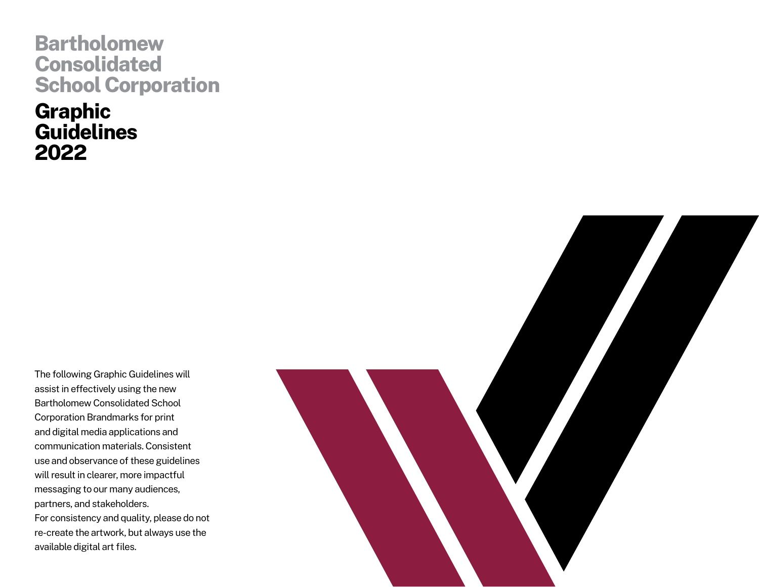# **Bartholomew Consolidated School Corporation**

**Graphic Guidelines 2022**

The following Graphic Guidelines will assist in effectively using the new Bartholomew Consolidated School Corporation Brandmarks for print and digital media applications and communication materials. Consistent use and observance of these guidelines will result in clearer, more impactful messaging to our many audiences, partners, and stakeholders. For consistency and quality, please do not re-create the artwork, but always use the available digital art files.

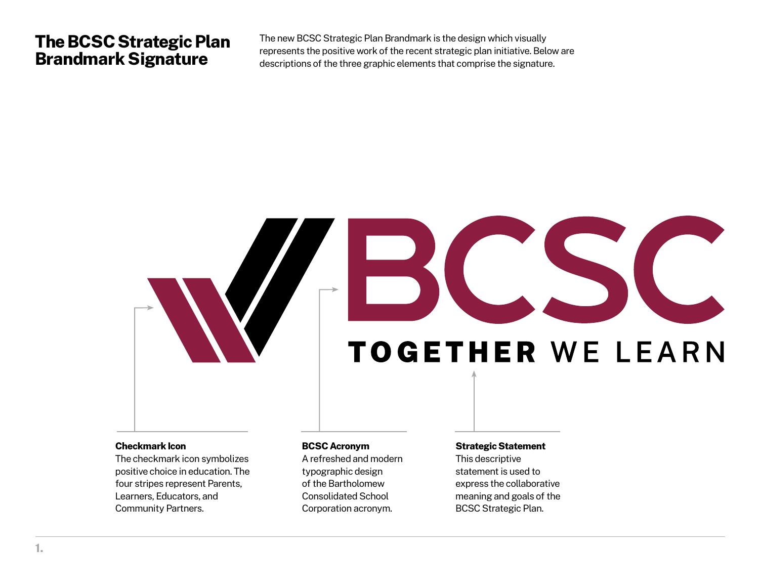### **The BCSC Strategic Plan Brandmark Signature**

The new BCSC Strategic Plan Brandmark is the design which visually represents the positive work of the recent strategic plan initiative. Below are descriptions of the three graphic elements that comprise the signature.

# **TOGETHER WE LEARN**

#### **Checkmark Icon**

The checkmark icon symbolizes positive choice in education. The four stripes represent Parents, Learners, Educators, and Community Partners.

### **BCSC Acronym**

A refreshed and modern typographic design of the Bartholomew Consolidated School Corporation acronym.

### **Strategic Statement** This descriptive statement is used to express the collaborative meaning and goals of the BCSC Strategic Plan.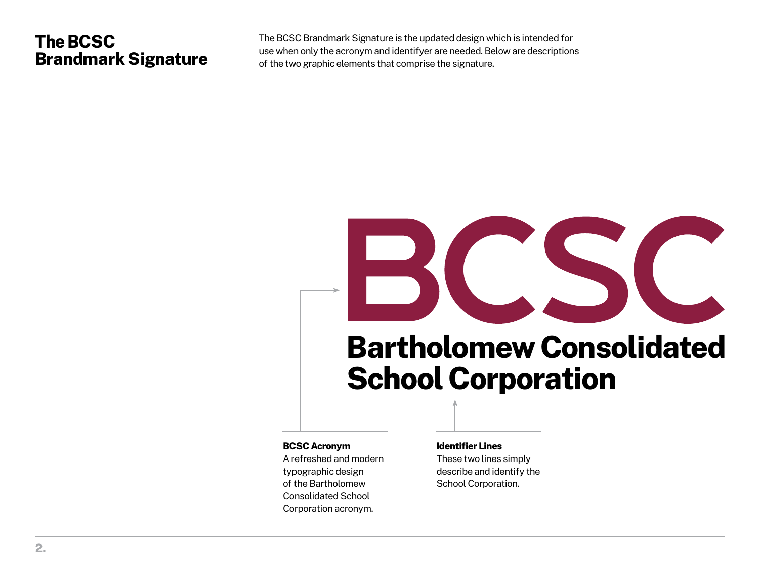# **The BCSC Brandmark Signature**

The BCSC Brandmark Signature is the updated design which is intended for use when only the acronym and identifyer are needed. Below are descriptions of the two graphic elements that comprise the signature.

# **Bartholomew Consolidated School Corporation**

### **BCSC Acronym**

A refreshed and modern typographic design of the Bartholomew Consolidated School Corporation acronym.

**Identifier Lines** These two lines simply describe and identify the School Corporation.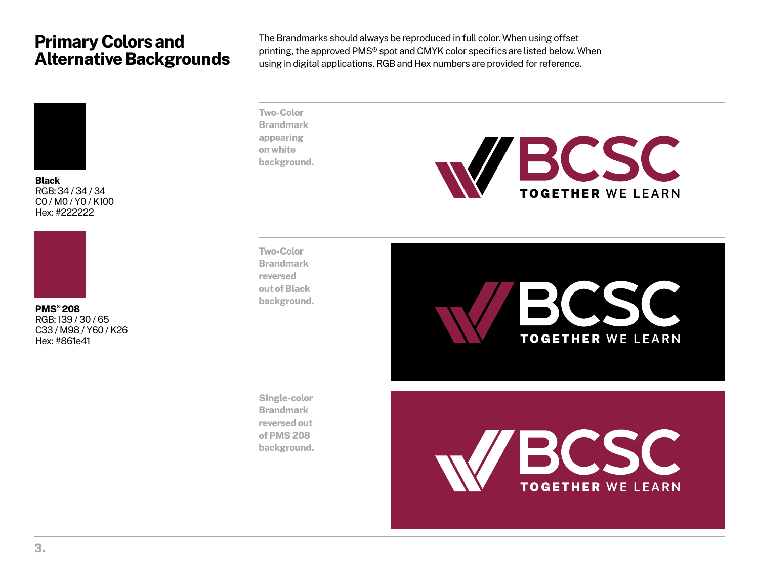# **Primary Colors and Alternative Backgrounds**



**Black** RGB: 34 / 34 / 34 C0 / M0 / Y0 / K100 Hex: #222222



**PMS® 208** RGB: 139 / 30 / 65 C33 / M98 / Y60 / K26 Hex: #861e41

The Brandmarks should always be reproduced in full color. When using offset printing, the approved PMS® spot and CMYK color specifics are listed below. When using in digital applications, RGB and Hex numbers are provided for reference.

**Two-Color Brandmark appearing on white background.**



**Two-Color Brandmark reversed out of Black background.**



**Single-color Brandmark reversed out of PMS 208 background.**

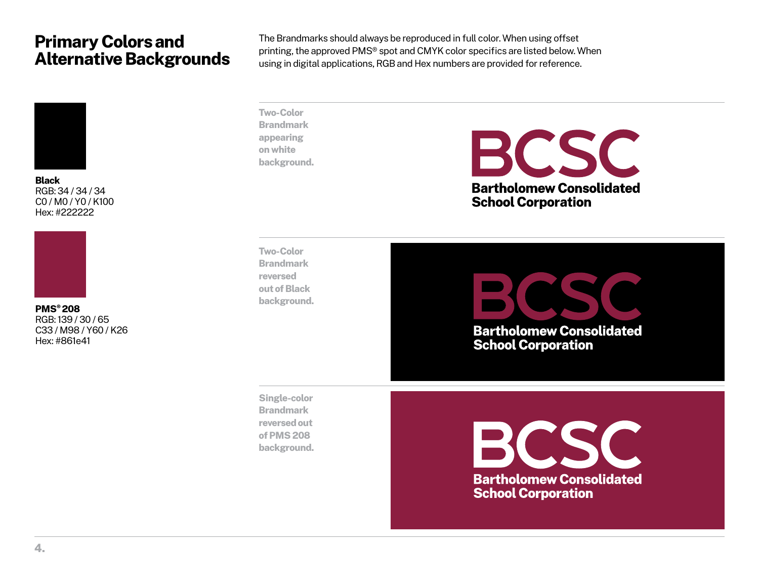# **Primary Colors and Alternative Backgrounds**



**Black** RGB: 34 / 34 / 34 C0 / M0 / Y0 / K100 Hex: #222222



**PMS® 208** RGB: 139 / 30 / 65 C33 / M98 / Y60 / K26 Hex: #861e41

The Brandmarks should always be reproduced in full color. When using offset printing, the approved PMS® spot and CMYK color specifics are listed below. When using in digital applications, RGB and Hex numbers are provided for reference.

**Two-Color Brandmark appearing on white background.**

BCSC **Bartholomew Consolidated School Corporation** 

**Two-Color Brandmark reversed out of Black background.**

**Bartholomew Consolidated School Corporation** 

**Single-color Brandmark reversed out of PMS 208 background.**

BCSC **Bartholomew Consolidated School Corporation**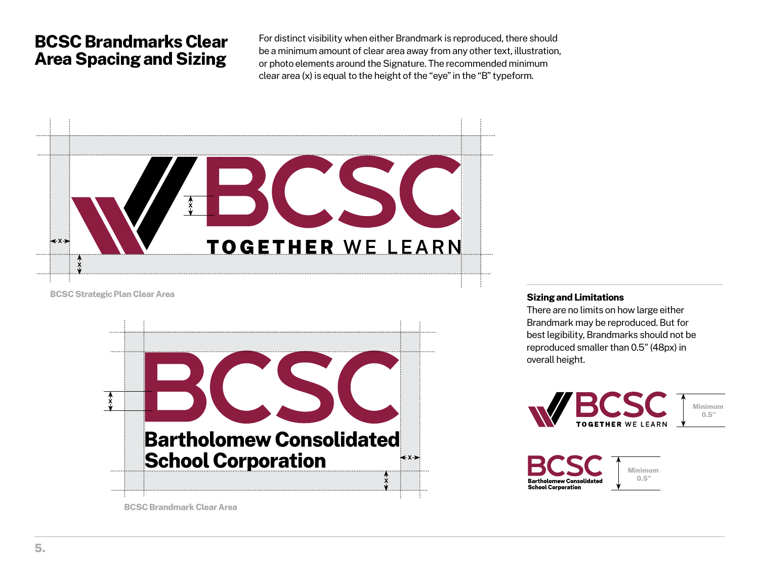# **BCSC Brandmarks Clear Area Spacing and Sizing**

For distinct visibility when either Brandmark is reproduced, there should be a minimum amount of clear area away from any other text, illustration, or photo elements around the Signature. The recommended minimum clear area (x) is equal to the height of the "eye" in the "B" typeform.



**BCSC Strategic Plan Clear Area**



### **Sizing and Limitations**

There are no limits on how large either Brandmark may be reproduced. But for best legibility, Brandmarks should not be reproduced smaller than 0.5" (48px) in overall height.



**Minimum 0.5"**



**Minimum 0.5"**